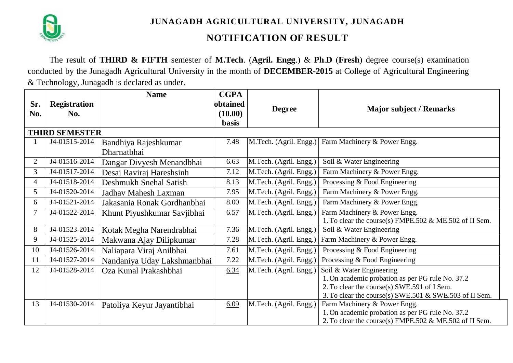

**JUNAGADH AGRICULTURAL UNIVERSITY, JUNAGADH**

## **NOTIFICATION OF RESULT**

The result of **THIRD & FIFTH** semester of **M.Tech**. (**Agril. Engg**.) & **Ph**.**D** (**Fresh**) degree course(s) examination conducted by the Junagadh Agricultural University in the month of **DECEMBER-2015** at College of Agricultural Engineering & Technology, Junagadh is declared as under.

|                       |                     | <b>Name</b>                 | <b>CGPA</b>  |                        |                                                        |  |  |  |
|-----------------------|---------------------|-----------------------------|--------------|------------------------|--------------------------------------------------------|--|--|--|
| Sr.                   | <b>Registration</b> |                             | obtained     |                        |                                                        |  |  |  |
| No.                   | No.                 |                             | (10.00)      | <b>Degree</b>          | <b>Major subject / Remarks</b>                         |  |  |  |
|                       |                     |                             | <b>basis</b> |                        |                                                        |  |  |  |
| <b>THIRD SEMESTER</b> |                     |                             |              |                        |                                                        |  |  |  |
|                       | J4-01515-2014       | Bandhiya Rajeshkumar        | 7.48         | M.Tech. (Agril. Engg.) | Farm Machinery & Power Engg.                           |  |  |  |
|                       |                     | Dharnatbhai                 |              |                        |                                                        |  |  |  |
| $\overline{2}$        | J4-01516-2014       | Dangar Divyesh Menandbhai   | 6.63         | M.Tech. (Agril. Engg.) | Soil & Water Engineering                               |  |  |  |
| 3                     | J4-01517-2014       | Desai Raviraj Hareshsinh    | 7.12         | M.Tech. (Agril. Engg.) | Farm Machinery & Power Engg.                           |  |  |  |
| 4                     | J4-01518-2014       | Deshmukh Snehal Satish      | 8.13         | M.Tech. (Agril. Engg.) | Processing & Food Engineering                          |  |  |  |
| 5                     | J4-01520-2014       | Jadhav Mahesh Laxman        | 7.95         | M.Tech. (Agril. Engg.) | Farm Machinery & Power Engg.                           |  |  |  |
| 6                     | J4-01521-2014       | Jakasania Ronak Gordhanbhai | 8.00         | M.Tech. (Agril. Engg.) | Farm Machinery & Power Engg.                           |  |  |  |
| 7                     | J4-01522-2014       | Khunt Piyushkumar Savjibhai | 6.57         | M.Tech. (Agril. Engg.) | Farm Machinery & Power Engg.                           |  |  |  |
|                       |                     |                             |              |                        | 1. To clear the course(s) FMPE.502 & ME.502 of II Sem. |  |  |  |
| 8                     | J4-01523-2014       | Kotak Megha Narendrabhai    | 7.36         | M.Tech. (Agril. Engg.) | Soil & Water Engineering                               |  |  |  |
| 9                     | J4-01525-2014       | Makwana Ajay Dilipkumar     | 7.28         | M.Tech. (Agril. Engg.) | Farm Machinery & Power Engg.                           |  |  |  |
| 10                    | J4-01526-2014       | Naliapara Viraj Anilbhai    | 7.61         | M.Tech. (Agril. Engg.) | Processing & Food Engineering                          |  |  |  |
| 11                    | J4-01527-2014       | Nandaniya Uday Lakshmanbhai | 7.22         | M.Tech. (Agril. Engg.) | Processing & Food Engineering                          |  |  |  |
| 12                    | J4-01528-2014       | Oza Kunal Prakashbhai       | 6.34         | M.Tech. (Agril. Engg.) | Soil & Water Engineering                               |  |  |  |
|                       |                     |                             |              |                        | 1. On academic probation as per PG rule No. 37.2       |  |  |  |
|                       |                     |                             |              |                        | 2. To clear the course(s) SWE.591 of I Sem.            |  |  |  |
|                       |                     |                             |              |                        | 3. To clear the course(s) SWE.501 & SWE.503 of II Sem. |  |  |  |
| 13                    | J4-01530-2014       | Patoliya Keyur Jayantibhai  | 6.09         | M.Tech. (Agril. Engg.) | Farm Machinery & Power Engg.                           |  |  |  |
|                       |                     |                             |              |                        | 1. On academic probation as per PG rule No. 37.2       |  |  |  |
|                       |                     |                             |              |                        | 2. To clear the course(s) FMPE.502 & ME.502 of II Sem. |  |  |  |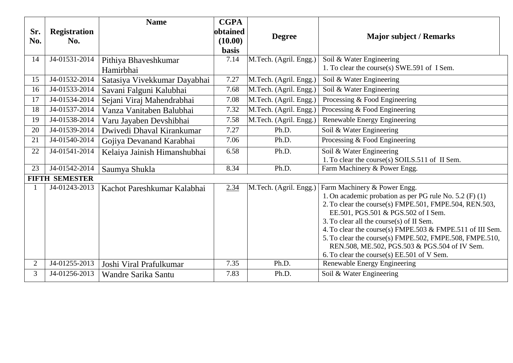| Sr. | <b>Registration</b>         | <b>Name</b>                  | <b>CGPA</b><br>obtained |                        |                                                                                                          |  |
|-----|-----------------------------|------------------------------|-------------------------|------------------------|----------------------------------------------------------------------------------------------------------|--|
| No. | No.                         |                              | (10.00)                 | <b>Degree</b>          | <b>Major subject / Remarks</b>                                                                           |  |
|     |                             |                              | <b>basis</b>            |                        |                                                                                                          |  |
| 14  | J4-01531-2014               | Pithiya Bhaveshkumar         | 7.14                    | M.Tech. (Agril. Engg.) | Soil & Water Engineering                                                                                 |  |
|     |                             | Hamirbhai                    |                         |                        | 1. To clear the course(s) SWE.591 of I Sem.                                                              |  |
| 15  | J4-01532-2014               | Satasiya Vivekkumar Dayabhai | 7.27                    | M.Tech. (Agril. Engg.) | Soil & Water Engineering                                                                                 |  |
| 16  | $\overline{J4}$ -01533-2014 | Savani Falguni Kalubhai      | 7.68                    | M.Tech. (Agril. Engg.) | Soil & Water Engineering                                                                                 |  |
| 17  | J4-01534-2014               | Sejani Viraj Mahendrabhai    | 7.08                    | M.Tech. (Agril. Engg.) | Processing & Food Engineering                                                                            |  |
| 18  | J4-01537-2014               | Vanza Vanitaben Balubhai     | 7.32                    | M.Tech. (Agril. Engg.) | Processing & Food Engineering                                                                            |  |
| 19  | J4-01538-2014               | Varu Jayaben Devshibhai      | 7.58                    | M.Tech. (Agril. Engg.) | Renewable Energy Engineering                                                                             |  |
| 20  | J4-01539-2014               | Dwivedi Dhaval Kirankumar    | 7.27                    | Ph.D.                  | Soil & Water Engineering                                                                                 |  |
| 21  | J4-01540-2014               | Gojiya Devanand Karabhai     | 7.06                    | Ph.D.                  | Processing & Food Engineering                                                                            |  |
| 22  | J4-01541-2014               | Kelaiya Jainish Himanshubhai | 6.58                    | Ph.D.                  | Soil & Water Engineering                                                                                 |  |
|     |                             |                              |                         |                        | 1. To clear the course(s) SOILS.511 of II Sem.                                                           |  |
| 23  | J4-01542-2014               | Saumya Shukla                | 8.34                    | Ph.D.                  | Farm Machinery & Power Engg.                                                                             |  |
|     | <b>FIFTH SEMESTER</b>       |                              |                         |                        |                                                                                                          |  |
|     | J4-01243-2013               | Kachot Pareshkumar Kalabhai  | 2.34                    | M.Tech. (Agril. Engg.) | Farm Machinery & Power Engg.                                                                             |  |
|     |                             |                              |                         |                        | 1. On academic probation as per PG rule No. 5.2 (F) (1)                                                  |  |
|     |                             |                              |                         |                        | 2. To clear the course(s) FMPE.501, FMPE.504, REN.503,                                                   |  |
|     |                             |                              |                         |                        | EE.501, PGS.501 & PGS.502 of I Sem.                                                                      |  |
|     |                             |                              |                         |                        | 3. To clear all the course(s) of II Sem.                                                                 |  |
|     |                             |                              |                         |                        | 4. To clear the course(s) FMPE.503 & FMPE.511 of III Sem.                                                |  |
|     |                             |                              |                         |                        | 5. To clear the course(s) FMPE.502, FMPE.508, FMPE.510,<br>REN.508, ME.502, PGS.503 & PGS.504 of IV Sem. |  |
|     |                             |                              |                         |                        | 6. To clear the course(s) EE.501 of V Sem.                                                               |  |
| 2   | J4-01255-2013               | Joshi Viral Prafulkumar      | 7.35                    | Ph.D.                  | Renewable Energy Engineering                                                                             |  |
| 3   | J4-01256-2013               | Wandre Sarika Santu          | 7.83                    | Ph.D.                  | Soil & Water Engineering                                                                                 |  |
|     |                             |                              |                         |                        |                                                                                                          |  |